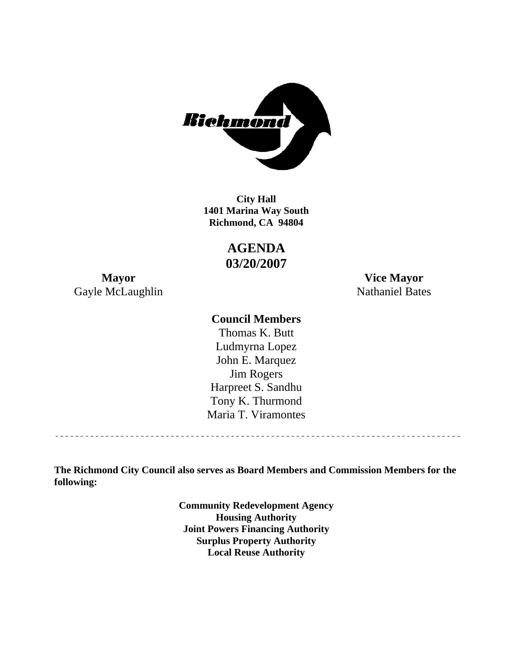

**1401 Marina Way South Richmond, CA 94804 City Hall** 

> **AGENDA 03/20/2007**

Gayle McLaughlin Nathaniel Bates

**Mayor Vice Mayor** 

## **Council Members**

Harpreet S. Sandhu Tony K. Thurmond Maria T. Viramontes Thomas K. Butt Ludmyrna Lopez John E. Marquez Jim Rogers

**The Richmond City Council also serves as Board Members and Commission Members for the following:** 

> **Community Redevelopment Agency Housing Authority Joint Powers Financing Authority Surplus Property Authority Local Reuse Authority**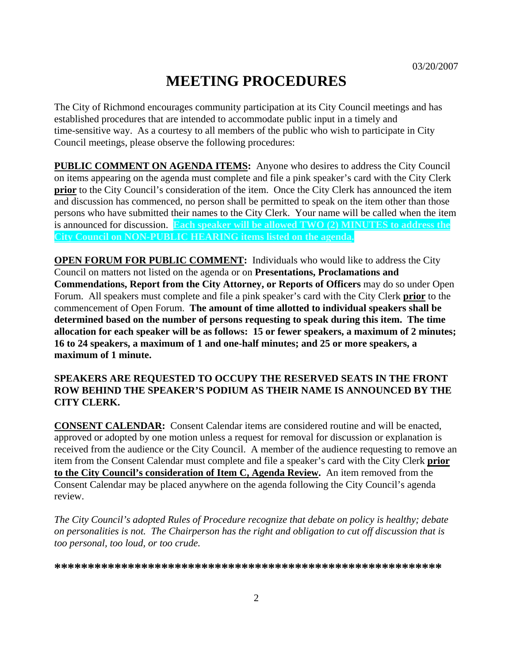# **MEETING PROCEDURES**

The City of Richmond encourages community participation at its City Council meetings and has established procedures that are intended to accommodate public input in a timely and time-sensitive way. As a courtesy to all members of the public who wish to participate in City Council meetings, please observe the following procedures:

**PUBLIC COMMENT ON AGENDA ITEMS:** Anyone who desires to address the City Council on items appearing on the agenda must complete and file a pink speaker's card with the City Clerk **prior** to the City Council's consideration of the item. Once the City Clerk has announced the item and discussion has commenced, no person shall be permitted to speak on the item other than those persons who have submitted their names to the City Clerk. Your name will be called when the item is announced for discussion. **Each speaker will be allowed TWO (2) MINUTES to address the City Council on NON-PUBLIC HEARING items listed on the agenda.** 

**OPEN FORUM FOR PUBLIC COMMENT:** Individuals who would like to address the City Council on matters not listed on the agenda or on **Presentations, Proclamations and Commendations, Report from the City Attorney, or Reports of Officers** may do so under Open Forum. All speakers must complete and file a pink speaker's card with the City Clerk **prior** to the commencement of Open Forum. **The amount of time allotted to individual speakers shall be determined based on the number of persons requesting to speak during this item. The time allocation for each speaker will be as follows: 15 or fewer speakers, a maximum of 2 minutes; 16 to 24 speakers, a maximum of 1 and one-half minutes; and 25 or more speakers, a maximum of 1 minute.** 

### **SPEAKERS ARE REQUESTED TO OCCUPY THE RESERVED SEATS IN THE FRONT ROW BEHIND THE SPEAKER'S PODIUM AS THEIR NAME IS ANNOUNCED BY THE CITY CLERK.**

**CONSENT CALENDAR:** Consent Calendar items are considered routine and will be enacted, approved or adopted by one motion unless a request for removal for discussion or explanation is received from the audience or the City Council. A member of the audience requesting to remove an item from the Consent Calendar must complete and file a speaker's card with the City Clerk **prior to the City Council's consideration of Item C, Agenda Review.** An item removed from the Consent Calendar may be placed anywhere on the agenda following the City Council's agenda review.

*The City Council's adopted Rules of Procedure recognize that debate on policy is healthy; debate on personalities is not. The Chairperson has the right and obligation to cut off discussion that is too personal, too loud, or too crude.* 

**\*\*\*\*\*\*\*\*\*\*\*\*\*\*\*\*\*\*\*\*\*\*\*\*\*\*\*\*\*\*\*\*\*\*\*\*\*\*\*\*\*\*\*\*\*\*\*\*\*\*\*\*\*\*\*\*\*\***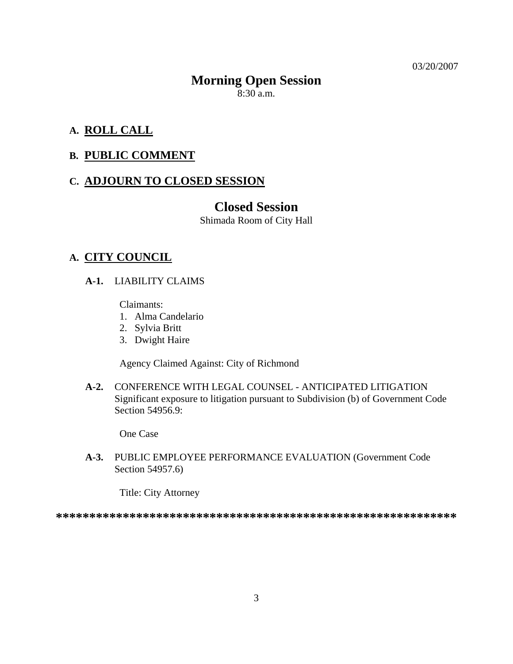03/20/2007

# **Morning Open Session**

 $8:30$  a.m.

## **A. ROLL CALL**

## **B. PUBLIC COMMENT**

## **C. ADJOURN TO CLOSED SESSION**

## **Closed Session**

Shimada Room of City Hall

## **A. CITY COUNCIL**

**A-1.** LIABILITY CLAIMS

Claimants:

- 1. Alma Candelario
- 2. Sylvia Britt
- 3. Dwight Haire

Agency Claimed Against: City of Richmond

**A-2.** CONFERENCE WITH LEGAL COUNSEL - ANTICIPATED LITIGATION Significant exposure to litigation pursuant to Subdivision (b) of Government Code Section 54956.9:

One Case

**A-3.** PUBLIC EMPLOYEE PERFORMANCE EVALUATION (Government Code Section 54957.6)

Title: City Attorney

**\*\*\*\*\*\*\*\*\*\*\*\*\*\*\*\*\*\*\*\*\*\*\*\*\*\*\*\*\*\*\*\*\*\*\*\*\*\*\*\*\*\*\*\*\*\*\*\*\*\*\*\*\*\*\*\*\*\*\*\***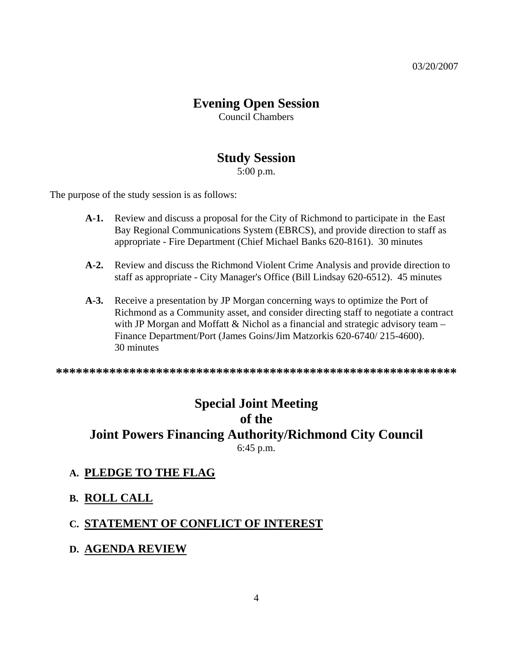# **Evening Open Session**

Council Chambers

# **Study Session**

5:00 p.m.

The purpose of the study session is as follows:

- **A-1.** Review and discuss a proposal for the City of Richmond to participate in the East Bay Regional Communications System (EBRCS), and provide direction to staff as appropriate - Fire Department (Chief Michael Banks 620-8161). 30 minutes
- **A-2.** Review and discuss the Richmond Violent Crime Analysis and provide direction to staff as appropriate - City Manager's Office (Bill Lindsay 620-6512). 45 minutes
- **A-3.** Receive a presentation by JP Morgan concerning ways to optimize the Port of Richmond as a Community asset, and consider directing staff to negotiate a contract with JP Morgan and Moffatt  $\&$  Nichol as a financial and strategic advisory team – Finance Department/Port (James Goins/Jim Matzorkis 620-6740/ 215-4600). 30 minutes

**\*\*\*\*\*\*\*\*\*\*\*\*\*\*\*\*\*\*\*\*\*\*\*\*\*\*\*\*\*\*\*\*\*\*\*\*\*\*\*\*\*\*\*\*\*\*\*\*\*\*\*\*\*\*\*\*\*\*\*\*** 

# **Special Joint Meeting of the Joint Powers Financing Authority/Richmond City Council**  6:45 p.m.

### **A. PLEDGE TO THE FLAG**

- **B. ROLL CALL**
- **C. STATEMENT OF CONFLICT OF INTEREST**
- **D. AGENDA REVIEW**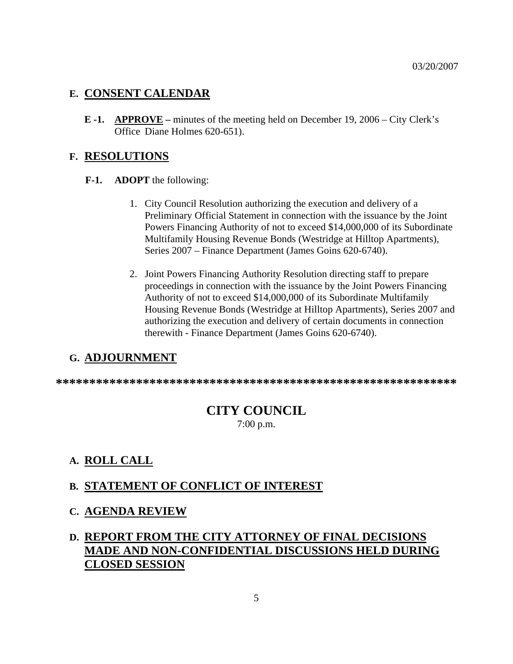#### **E. CONSENT CALENDAR**

**E -1. APPROVE –** minutes of the meeting held on December 19, 2006 – City Clerk's Office Diane Holmes 620-651).

#### **F. RESOLUTIONS**

- **F-1. ADOPT** the following:
	- 1. City Council Resolution authorizing the execution and delivery of a Preliminary Official Statement in connection with the issuance by the Joint Powers Financing Authority of not to exceed \$14,000,000 of its Subordinate Multifamily Housing Revenue Bonds (Westridge at Hilltop Apartments), Series 2007 – Finance Department (James Goins 620-6740).
	- 2. Joint Powers Financing Authority Resolution directing staff to prepare proceedings in connection with the issuance by the Joint Powers Financing Authority of not to exceed \$14,000,000 of its Subordinate Multifamily Housing Revenue Bonds (Westridge at Hilltop Apartments), Series 2007 and authorizing the execution and delivery of certain documents in connection therewith - Finance Department (James Goins 620-6740).

### **G. ADJOURNMENT**

**\*\*\*\*\*\*\*\*\*\*\*\*\*\*\*\*\*\*\*\*\*\*\*\*\*\*\*\*\*\*\*\*\*\*\*\*\*\*\*\*\*\*\*\*\*\*\*\*\*\*\*\*\*\*\*\*\*\*\*\*** 

## **CITY COUNCIL**

7:00 p.m.

## **A. ROLL CALL**

### **B. STATEMENT OF CONFLICT OF INTEREST**

**C. AGENDA REVIEW**

## **D. REPORT FROM THE CITY ATTORNEY OF FINAL DECISIONS MADE AND NON-CONFIDENTIAL DISCUSSIONS HELD DURING CLOSED SESSION**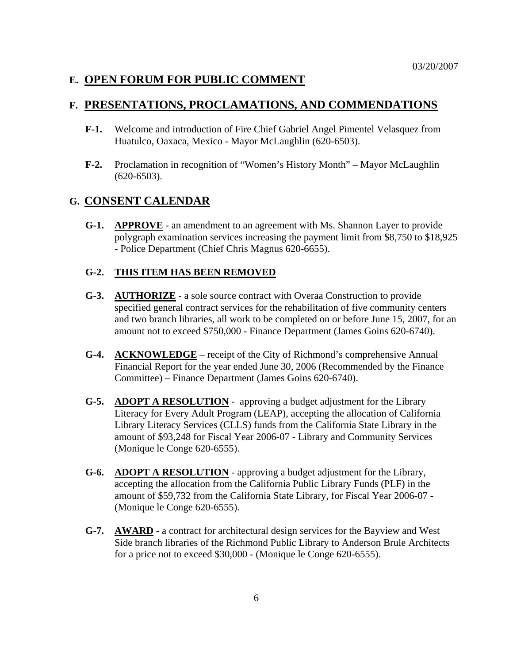#### **E. OPEN FORUM FOR PUBLIC COMMENT**

#### **F. PRESENTATIONS, PROCLAMATIONS, AND COMMENDATIONS**

- **F-1.** Welcome and introduction of Fire Chief Gabriel Angel Pimentel Velasquez from Huatulco, Oaxaca, Mexico - Mayor McLaughlin (620-6503).
- **F-2.** Proclamation in recognition of "Women's History Month" Mayor McLaughlin (620-6503).

#### **G. CONSENT CALENDAR**

**G-1. APPROVE** - an amendment to an agreement with Ms. Shannon Layer to provide polygraph examination services increasing the payment limit from \$8,750 to \$18,925 - Police Department (Chief Chris Magnus 620-6655).

#### **G-2. THIS ITEM HAS BEEN REMOVED**

- **G-3. AUTHORIZE** a sole source contract with Overaa Construction to provide specified general contract services for the rehabilitation of five community centers and two branch libraries, all work to be completed on or before June 15, 2007, for an amount not to exceed \$750,000 - Finance Department (James Goins 620-6740).
- **G-4. ACKNOWLEDGE** receipt of the City of Richmond's comprehensive Annual Financial Report for the year ended June 30, 2006 (Recommended by the Finance Committee) – Finance Department (James Goins 620-6740).
- **G-5. ADOPT A RESOLUTION** approving a budget adjustment for the Library Literacy for Every Adult Program (LEAP), accepting the allocation of California Library Literacy Services (CLLS) funds from the California State Library in the amount of \$93,248 for Fiscal Year 2006-07 - Library and Community Services (Monique le Conge 620-6555).
- **G-6. ADOPT A RESOLUTION** approving a budget adjustment for the Library, accepting the allocation from the California Public Library Funds (PLF) in the amount of \$59,732 from the California State Library, for Fiscal Year 2006-07 - (Monique le Conge 620-6555).
- **G-7. AWARD** a contract for architectural design services for the Bayview and West Side branch libraries of the Richmond Public Library to Anderson Brule Architects for a price not to exceed \$30,000 - (Monique le Conge 620-6555).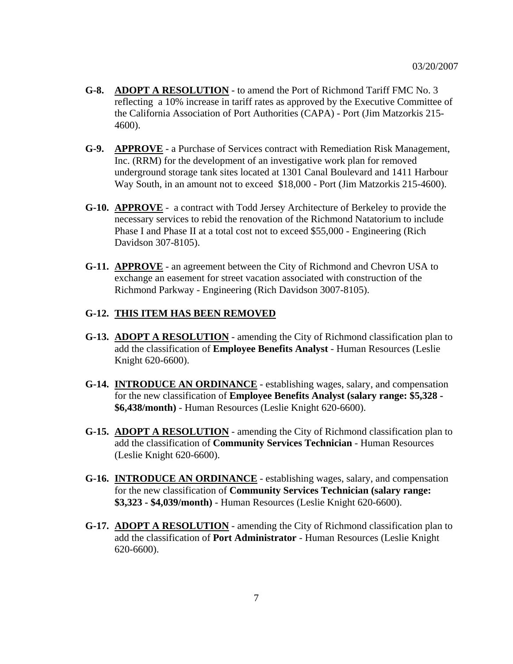- **G-8. ADOPT A RESOLUTION** to amend the Port of Richmond Tariff FMC No. 3 reflecting a 10% increase in tariff rates as approved by the Executive Committee of the California Association of Port Authorities (CAPA) - Port (Jim Matzorkis 215- 4600).
- **G-9. APPROVE** a Purchase of Services contract with Remediation Risk Management, Inc. (RRM) for the development of an investigative work plan for removed underground storage tank sites located at 1301 Canal Boulevard and 1411 Harbour Way South, in an amount not to exceed \$18,000 - Port (Jim Matzorkis 215-4600).
- **G-10. APPROVE** a contract with Todd Jersey Architecture of Berkeley to provide the necessary services to rebid the renovation of the Richmond Natatorium to include Phase I and Phase II at a total cost not to exceed \$55,000 - Engineering (Rich Davidson 307-8105).
- **G-11. APPROVE** an agreement between the City of Richmond and Chevron USA to exchange an easement for street vacation associated with construction of the Richmond Parkway - Engineering (Rich Davidson 3007-8105).

#### **G-12. THIS ITEM HAS BEEN REMOVED**

- **G-13. ADOPT A RESOLUTION** amending the City of Richmond classification plan to add the classification of **Employee Benefits Analyst** - Human Resources (Leslie Knight 620-6600).
- **G-14. INTRODUCE AN ORDINANCE** establishing wages, salary, and compensation for the new classification of **Employee Benefits Analyst (salary range: \$5,328 - \$6,438/month)** - Human Resources (Leslie Knight 620-6600).
- **G-15. ADOPT A RESOLUTION** amending the City of Richmond classification plan to add the classification of **Community Services Technician** - Human Resources (Leslie Knight 620-6600).
- **G-16. INTRODUCE AN ORDINANCE** establishing wages, salary, and compensation for the new classification of **Community Services Technician (salary range: \$3,323 - \$4,039/month)** - Human Resources (Leslie Knight 620-6600).
- **G-17. ADOPT A RESOLUTION** amending the City of Richmond classification plan to add the classification of **Port Administrator** - Human Resources (Leslie Knight 620-6600).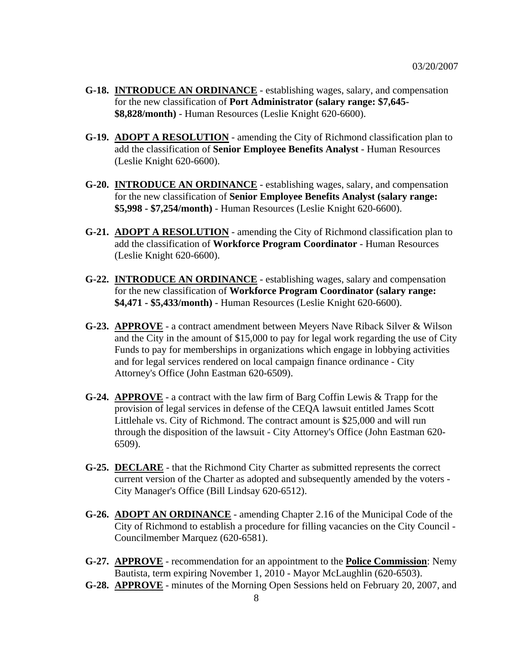- **G-18. INTRODUCE AN ORDINANCE** establishing wages, salary, and compensation for the new classification of **Port Administrator (salary range: \$7,645- \$8,828/month)** - Human Resources (Leslie Knight 620-6600).
- **G-19. ADOPT A RESOLUTION** amending the City of Richmond classification plan to add the classification of **Senior Employee Benefits Analyst** - Human Resources (Leslie Knight 620-6600).
- **G-20. INTRODUCE AN ORDINANCE** establishing wages, salary, and compensation for the new classification of **Senior Employee Benefits Analyst (salary range: \$5,998 - \$7,254/month)** - Human Resources (Leslie Knight 620-6600).
- **G-21. ADOPT A RESOLUTION** amending the City of Richmond classification plan to add the classification of **Workforce Program Coordinator** - Human Resources (Leslie Knight 620-6600).
- **G-22. INTRODUCE AN ORDINANCE** establishing wages, salary and compensation for the new classification of **Workforce Program Coordinator (salary range: \$4,471 - \$5,433/month)** - Human Resources (Leslie Knight 620-6600).
- **G-23. APPROVE** a contract amendment between Meyers Nave Riback Silver & Wilson and the City in the amount of \$15,000 to pay for legal work regarding the use of City Funds to pay for memberships in organizations which engage in lobbying activities and for legal services rendered on local campaign finance ordinance - City Attorney's Office (John Eastman 620-6509).
- **G-24. APPROVE** a contract with the law firm of Barg Coffin Lewis & Trapp for the provision of legal services in defense of the CEQA lawsuit entitled James Scott Littlehale vs. City of Richmond. The contract amount is \$25,000 and will run through the disposition of the lawsuit - City Attorney's Office (John Eastman 620- 6509).
- **G-25. DECLARE** that the Richmond City Charter as submitted represents the correct current version of the Charter as adopted and subsequently amended by the voters - City Manager's Office (Bill Lindsay 620-6512).
- **G-26. ADOPT AN ORDINANCE** amending Chapter 2.16 of the Municipal Code of the City of Richmond to establish a procedure for filling vacancies on the City Council - Councilmember Marquez (620-6581).
- **G-27. APPROVE** recommendation for an appointment to the **Police Commission**: Nemy Bautista, term expiring November 1, 2010 - Mayor McLaughlin (620-6503).
- **G-28. APPROVE** minutes of the Morning Open Sessions held on February 20, 2007, and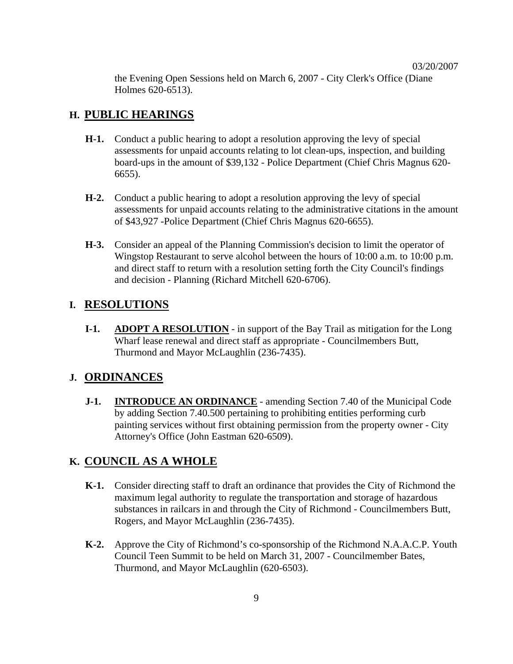the Evening Open Sessions held on March 6, 2007 - City Clerk's Office (Diane Holmes 620-6513).

## **H. PUBLIC HEARINGS**

- **H-1.** Conduct a public hearing to adopt a resolution approving the levy of special assessments for unpaid accounts relating to lot clean-ups, inspection, and building board-ups in the amount of \$39,132 - Police Department (Chief Chris Magnus 620- 6655).
- **H-2.** Conduct a public hearing to adopt a resolution approving the levy of special assessments for unpaid accounts relating to the administrative citations in the amount of \$43,927 -Police Department (Chief Chris Magnus 620-6655).
- **H-3.** Consider an appeal of the Planning Commission's decision to limit the operator of Wingstop Restaurant to serve alcohol between the hours of 10:00 a.m. to 10:00 p.m. and direct staff to return with a resolution setting forth the City Council's findings and decision - Planning (Richard Mitchell 620-6706).

### **I. RESOLUTIONS**

**I-1. ADOPT A RESOLUTION** - in support of the Bay Trail as mitigation for the Long Wharf lease renewal and direct staff as appropriate - Councilmembers Butt, Thurmond and Mayor McLaughlin (236-7435).

### **J. ORDINANCES**

**J-1. INTRODUCE AN ORDINANCE** - amending Section 7.40 of the Municipal Code by adding Section 7.40.500 pertaining to prohibiting entities performing curb painting services without first obtaining permission from the property owner - City Attorney's Office (John Eastman 620-6509).

## **K. COUNCIL AS A WHOLE**

- **K-1.** Consider directing staff to draft an ordinance that provides the City of Richmond the maximum legal authority to regulate the transportation and storage of hazardous substances in railcars in and through the City of Richmond - Councilmembers Butt, Rogers, and Mayor McLaughlin (236-7435).
- **K-2.** Approve the City of Richmond's co-sponsorship of the Richmond N.A.A.C.P. Youth Council Teen Summit to be held on March 31, 2007 - Councilmember Bates, Thurmond, and Mayor McLaughlin (620-6503).